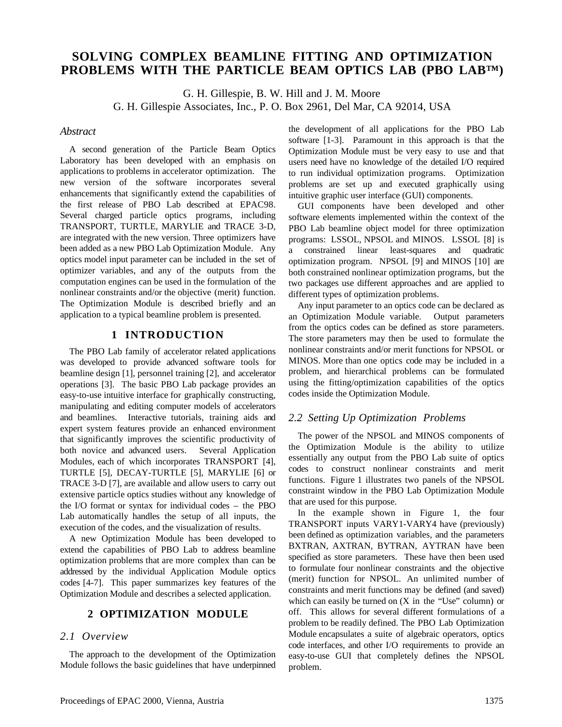# **SOLVING COMPLEX BEAMLINE FITTING AND OPTIMIZATION PROBLEMS WITH THE PARTICLE BEAM OPTICS LAB (PBO LAB™)**

G. H. Gillespie, B. W. Hill and J. M. Moore

G. H. Gillespie Associates, Inc., P. O. Box 2961, Del Mar, CA 92014, USA

#### *Abstract*

A second generation of the Particle Beam Optics Laboratory has been developed with an emphasis on applications to problems in accelerator optimization. The new version of the software incorporates several enhancements that significantly extend the capabilities of the first release of PBO Lab described at EPAC98. Several charged particle optics programs, including TRANSPORT, TURTLE, MARYLIE and TRACE 3-D, are integrated with the new version. Three optimizers have been added as a new PBO Lab Optimization Module. Any optics model input parameter can be included in the set of optimizer variables, and any of the outputs from the computation engines can be used in the formulation of the nonlinear constraints and/or the objective (merit) function. The Optimization Module is described briefly and an application to a typical beamline problem is presented.

# **1 INTRODUCTION**

The PBO Lab family of accelerator related applications was developed to provide advanced software tools for beamline design [1], personnel training [2], and accelerator operations [3]. The basic PBO Lab package provides an easy-to-use intuitive interface for graphically constructing, manipulating and editing computer models of accelerators and beamlines. Interactive tutorials, training aids and expert system features provide an enhanced environment that significantly improves the scientific productivity of both novice and advanced users. Several Application Modules, each of which incorporates TRANSPORT [4], TURTLE [5], DECAY-TURTLE [5], MARYLIE [6] or TRACE 3-D [7], are available and allow users to carry out extensive particle optics studies without any knowledge of the I/O format or syntax for individual codes – the PBO Lab automatically handles the setup of all inputs, the execution of the codes, and the visualization of results.

A new Optimization Module has been developed to extend the capabilities of PBO Lab to address beamline optimization problems that are more complex than can be addressed by the individual Application Module optics codes [4-7]. This paper summarizes key features of the Optimization Module and describes a selected application.

# **2 OPTIMIZATION MODULE**

### *2.1 Overview*

The approach to the development of the Optimization Module follows the basic guidelines that have underpinned the development of all applications for the PBO Lab software [1-3]. Paramount in this approach is that the Optimization Module must be very easy to use and that users need have no knowledge of the detailed I/O required to run individual optimization programs. Optimization problems are set up and executed graphically using intuitive graphic user interface (GUI) components.

GUI components have been developed and other software elements implemented within the context of the PBO Lab beamline object model for three optimization programs: LSSOL, NPSOL and MINOS. LSSOL [8] is a constrained linear least-squares and quadratic optimization program. NPSOL [9] and MINOS [10] are both constrained nonlinear optimization programs, but the two packages use different approaches and are applied to different types of optimization problems.

Any input parameter to an optics code can be declared as an Optimization Module variable. Output parameters from the optics codes can be defined as store parameters. The store parameters may then be used to formulate the nonlinear constraints and/or merit functions for NPSOL or MINOS. More than one optics code may be included in a problem, and hierarchical problems can be formulated using the fitting/optimization capabilities of the optics codes inside the Optimization Module.

# *2.2 Setting Up Optimization Problems*

The power of the NPSOL and MINOS components of the Optimization Module is the ability to utilize essentially any output from the PBO Lab suite of optics codes to construct nonlinear constraints and merit functions. Figure 1 illustrates two panels of the NPSOL constraint window in the PBO Lab Optimization Module that are used for this purpose.

In the example shown in Figure 1, the four TRANSPORT inputs VARY1-VARY4 have (previously) been defined as optimization variables, and the parameters BXTRAN, AXTRAN, BYTRAN, AYTRAN have been specified as store parameters. These have then been used to formulate four nonlinear constraints and the objective (merit) function for NPSOL. An unlimited number of constraints and merit functions may be defined (and saved) which can easily be turned on  $(X \in \mathcal{X})$  the "Use" column) or off. This allows for several different formulations of a problem to be readily defined. The PBO Lab Optimization Module encapsulates a suite of algebraic operators, optics code interfaces, and other I/O requirements to provide an easy-to-use GUI that completely defines the NPSOL problem.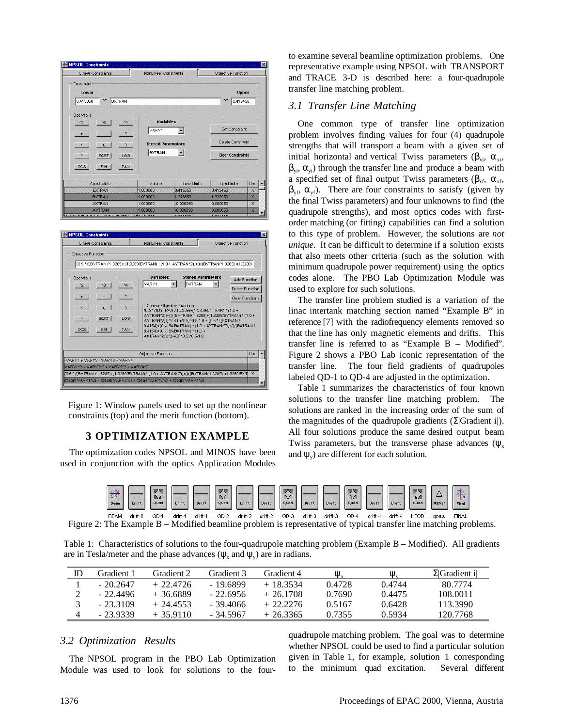| <b>NPSOL Constraints</b>              |                              |                        |                          |                                                                                                                                                                    |                          |                                           |
|---------------------------------------|------------------------------|------------------------|--------------------------|--------------------------------------------------------------------------------------------------------------------------------------------------------------------|--------------------------|-------------------------------------------|
| <b>Linear Constraints</b>             |                              |                        | NonLinear Constraints    |                                                                                                                                                                    | Objective Function       |                                           |
| Constraint                            |                              |                        |                          |                                                                                                                                                                    |                          |                                           |
| Lower                                 |                              |                        |                          |                                                                                                                                                                    |                          | <b>Upper</b>                              |
| 0.415350                              | $\ll=$                       | <b>BXTRAN</b>          |                          |                                                                                                                                                                    | $\leq$<br>0.415450       |                                           |
|                                       |                              |                        |                          |                                                                                                                                                                    |                          |                                           |
| Operators                             |                              |                        |                          |                                                                                                                                                                    |                          |                                           |
| $^{\prime\prime}2$                    | ^3                           | $\sim$                 | <b>Variables</b>         |                                                                                                                                                                    | Set Constraint           |                                           |
| $+$                                   |                              | $\star$                | VARY1                    | $\overline{\phantom{a}}$                                                                                                                                           |                          |                                           |
| J.                                    |                              | $\lambda$              | <b>Stored Parameters</b> |                                                                                                                                                                    | <b>Delete Constraint</b> |                                           |
| A                                     | SQRT                         | LOG                    | <b>BXTRAN</b>            | $\blacktriangledown$                                                                                                                                               | Clear Constraints        |                                           |
|                                       |                              |                        |                          |                                                                                                                                                                    |                          |                                           |
| $\cos$                                | SIN                          | <b>TAN</b>             |                          |                                                                                                                                                                    |                          |                                           |
|                                       |                              |                        |                          |                                                                                                                                                                    |                          |                                           |
|                                       | Constraints<br><b>BXTRAN</b> |                        | Values<br>1,000000       | Low Limits<br>0.415350                                                                                                                                             | Upp Limits<br>0.415450   | Use<br>X                                  |
|                                       | <b>BYTRAN</b>                |                        | 1.000000                 | 1,328850                                                                                                                                                           | 1,328950                 | x                                         |
|                                       | <b>AXTRAN</b>                |                        | 1.000000                 | $-0.000050$                                                                                                                                                        | 0.000050                 | X                                         |
|                                       |                              |                        |                          |                                                                                                                                                                    |                          |                                           |
| avec me<br><b>NPSOL Constraints</b>   | <b>AYTRAN</b>                | $0.54$ CONTRALIDATIONS | 1.000000                 | $-0.000050$<br>000000                                                                                                                                              | 0.000050<br>001000       | X                                         |
|                                       |                              |                        |                          |                                                                                                                                                                    |                          |                                           |
| <b>Linear Constraints</b>             |                              |                        | NonLinear Constraints    |                                                                                                                                                                    | Objective Function       |                                           |
| Objective Function                    |                              |                        |                          |                                                                                                                                                                    |                          |                                           |
|                                       |                              |                        |                          | /0.5 * ((BYTRAN / 1.3289)+(1.3289/BYTRAN) * (1.0 + AYTRAN^2))+((((BYTRAN/1.3289)+(1.3289)                                                                          |                          |                                           |
| Operators                             |                              |                        | Variables                | <b>Stored Parameters</b>                                                                                                                                           |                          | Add Function                              |
| $^{\prime\prime}2$                    | ^3                           | $\sqrt{4}$             | VARY1                    | <b>BXTRAN</b>                                                                                                                                                      |                          |                                           |
|                                       |                              | $\star$                |                          |                                                                                                                                                                    |                          | Delete Function<br><b>Clear Functions</b> |
|                                       |                              |                        |                          | Current Objective Function                                                                                                                                         |                          |                                           |
| ٨                                     |                              |                        |                          | (0.5 * ((BYTRAN / 1.3289)+(1.3289/BYTRAN) * (1.0 +<br>AYTRAN^2))+((((BYTRAN/1.3289)+(1.3289/BYTRAN) * (1.0 +                                                       |                          |                                           |
|                                       | SQRT                         | LOG                    |                          | AYTRAN^2)))^2-4.0)^0.5)^0.5-1.0 + (0.5 * ((BXTRAN /<br>0.4154)+(0.4154/BXTRAN) * (1.0 + AXTRAN^2))+((((BXTRAN /                                                    |                          |                                           |
| cos                                   | SIN                          | <b>TAN</b>             |                          | 0.4154)+(0.4154/BXTRAN) * (1.0 +<br>AXTRAN^2)))^2-4.0)^0.5)^0.5-1.0                                                                                                |                          |                                           |
|                                       |                              |                        |                          |                                                                                                                                                                    |                          |                                           |
|                                       |                              |                        | Objective Function       |                                                                                                                                                                    |                          | Use                                       |
| -VARY1 + VARY2 - VARY3 + VARY4        |                              |                        |                          |                                                                                                                                                                    |                          |                                           |
| VARY1^2 + VARY2^2 + VARY3^2 + VARY4^2 |                              |                        |                          |                                                                                                                                                                    |                          |                                           |
|                                       |                              |                        |                          | (0.5 * ((BYTRAN / 1.3289)+(1.3289/BYTRAN) * (1.0 + AYTRAN^2))+((((BYTRAN/ 1.3289)+(1.3289/BYT<br>@sqrt(VARY1^2) + @sqrt(VARY2^2) + @sqrt(VARY3^2) + @sqrt(VARY4^2) |                          | X                                         |

Figure 1: Window panels used to set up the nonlinear constraints (top) and the merit function (bottom).

# **3 OPTIMIZATION EXAMPLE**

The optimization codes NPSOL and MINOS have been used in conjunction with the optics Application Modules to examine several beamline optimization problems. One representative example using NPSOL with TRANSPORT and TRACE 3-D is described here: a four-quadrupole transfer line matching problem.

#### *3.1 Transfer Line Matching*

One common type of transfer line optimization problem involves finding values for four (4) quadrupole strengths that will transport a beam with a given set of initial horizontal and vertical Twiss parameters ( $\beta_{xi}$ ,  $\alpha_{xi}$ ,  $\beta_{\rm vi}$ ,  $\alpha_{\rm vi}$ ) through the transfer line and produce a beam with a specified set of final output Twiss parameters ( $\beta_{xf}$ ,  $\alpha_{xf}$ ,  $\beta_{\rm vf}, \alpha_{\rm vf}$ ). There are four constraints to satisfy (given by the final Twiss parameters) and four unknowns to find (the quadrupole strengths), and most optics codes with firstorder matching (or fitting) capabilities can find a solution to this type of problem. However, the solutions are *not unique*. It can be difficult to determine if a solution exists that also meets other criteria (such as the solution with minimum quadrupole power requirement) using the optics codes alone. The PBO Lab Optimization Module was used to explore for such solutions.

The transfer line problem studied is a variation of the linac intertank matching section named "Example B" in reference [7] with the radiofrequency elements removed so that the line has only magnetic elements and drifts. This transfer line is referred to as "Example B – Modified". Figure 2 shows a PBO Lab iconic representation of the transfer line. The four field gradients of quadrupoles labeled QD-1 to QD-4 are adjusted in the optimization.

Table 1 summarizes the characteristics of four known solutions to the transfer line matching problem. The solutions are ranked in the increasing order of the sum of the magnitudes of the quadrupole gradients ( $\Sigma$ |Gradient i|). All four solutions produce the same desired output beam Twiss parameters, but the transverse phase advances ( $\psi_x$ and  $\psi$ <sub>v</sub>) are different for each solution.

| Beam | $0$ rif' | 30004 50000<br>2009 8000<br>Quac | Drift | . . | Drift | 30006 8000<br>2009 8000<br><b>Quay</b> | Drift | $\overline{\phantom{a}}$ | . | $\overline{ }$ | 55556 8555<br>2009 8000<br>Quac | $D - 144$ | Drift | $\epsilon =$ | <b>WAN MAY</b><br>2004 6000<br>Quad | Drift | . . | Drift | - | 30006 9000<br>2009 8000<br>Quac | $11 - x$ | Final |  |
|------|----------|----------------------------------|-------|-----|-------|----------------------------------------|-------|--------------------------|---|----------------|---------------------------------|-----------|-------|--------------|-------------------------------------|-------|-----|-------|---|---------------------------------|----------|-------|--|
|      |          |                                  |       |     |       |                                        |       |                          |   |                |                                 |           |       |              |                                     |       |     |       |   |                                 |          |       |  |

BEAM drift-0 QD-1 drift-1 drift-1 QD-2 drift-2 drift-2 QD-3 drift-3 drift-3 QD-4 drift-4 drift-4 HFQD goals FINAL Figure 2: The Example B – Modified beamline problem is representative of typical transfer line matching problems.

Table 1: Characteristics of solutions to the four-quadrupole matching problem (Example B – Modified). All gradients are in Tesla/meter and the phase advances ( $\psi_x$  and  $\psi_y$ ) are in radians.

| Gradient 1 | Gradient 2  | Gradient 3 | Gradient 4 | $\Psi_{\rm x}$ | $\Psi_{v}$ | $\Sigma$ Gradient il |
|------------|-------------|------------|------------|----------------|------------|----------------------|
| - 20 2647  | $+22.4726$  | $-19.6899$ | $+18.3534$ | 0.4728         | 0.4744     | 80.7774              |
| - 22.4496  | $+36.6889$  | $-22.6956$ | $+26.1708$ | 0.7690         | 0.4475     | 108.0011             |
| $-233109$  | $+24.4553$  | - 39.4066  | $+22.2276$ | 0.5167         | 0.6428     | 113.3990             |
| - 23 9339  | $+$ 35 9110 | - 34 5967  | $+263365$  | 0.7355         | 0.5934     | 120.7768             |

### *3.2 Optimization Results*

The NPSOL program in the PBO Lab Optimization Module was used to look for solutions to the fourquadrupole matching problem. The goal was to determine whether NPSOL could be used to find a particular solution given in Table 1, for example, solution 1 corresponding to the minimum quad excitation. Several different